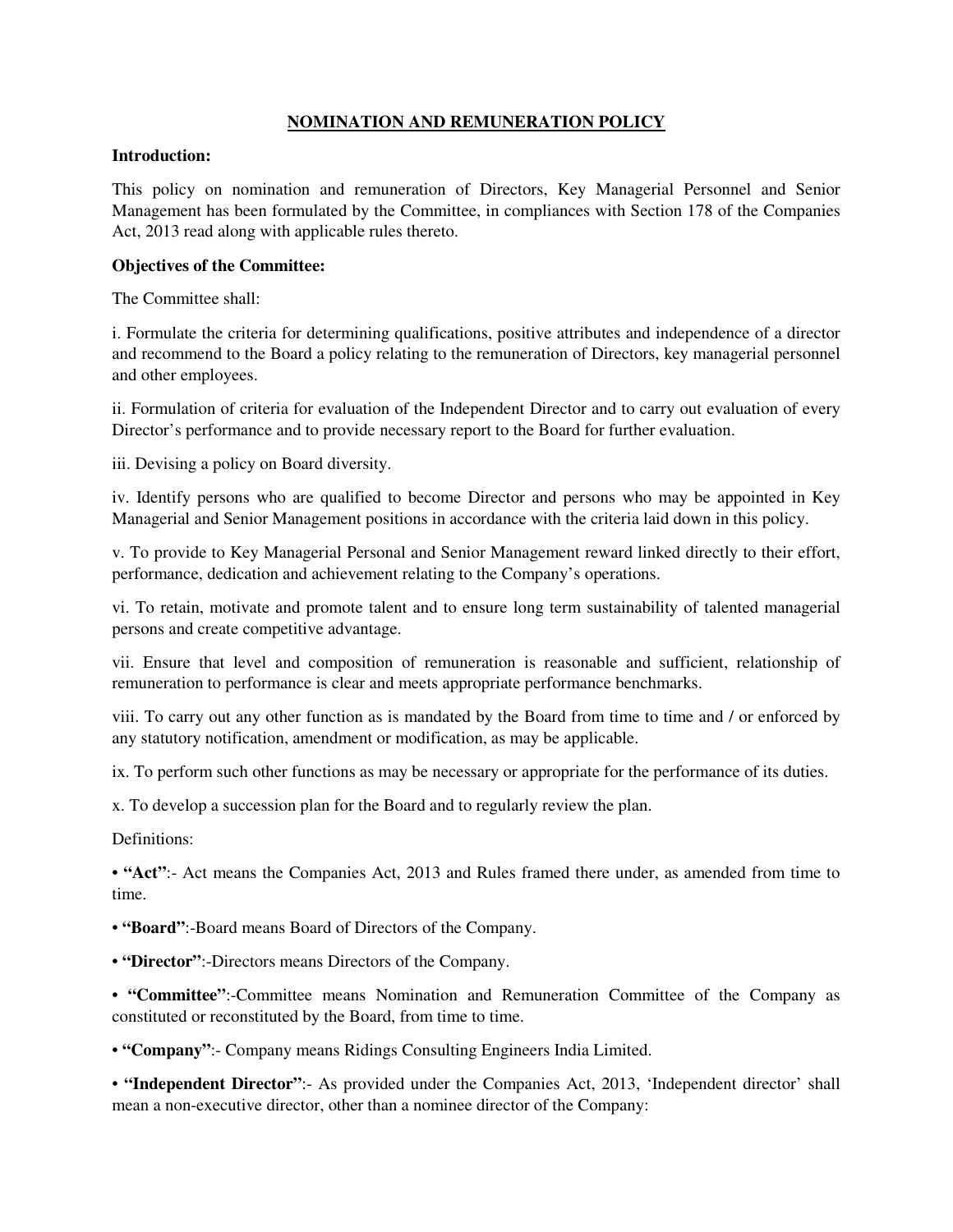## **NOMINATION AND REMUNERATION POLICY**

#### **Introduction:**

This policy on nomination and remuneration of Directors, Key Managerial Personnel and Senior Management has been formulated by the Committee, in compliances with Section 178 of the Companies Act, 2013 read along with applicable rules thereto.

## **Objectives of the Committee:**

The Committee shall:

i. Formulate the criteria for determining qualifications, positive attributes and independence of a director and recommend to the Board a policy relating to the remuneration of Directors, key managerial personnel and other employees.

ii. Formulation of criteria for evaluation of the Independent Director and to carry out evaluation of every Director's performance and to provide necessary report to the Board for further evaluation.

iii. Devising a policy on Board diversity.

iv. Identify persons who are qualified to become Director and persons who may be appointed in Key Managerial and Senior Management positions in accordance with the criteria laid down in this policy.

v. To provide to Key Managerial Personal and Senior Management reward linked directly to their effort, performance, dedication and achievement relating to the Company's operations.

vi. To retain, motivate and promote talent and to ensure long term sustainability of talented managerial persons and create competitive advantage.

vii. Ensure that level and composition of remuneration is reasonable and sufficient, relationship of remuneration to performance is clear and meets appropriate performance benchmarks.

viii. To carry out any other function as is mandated by the Board from time to time and / or enforced by any statutory notification, amendment or modification, as may be applicable.

ix. To perform such other functions as may be necessary or appropriate for the performance of its duties.

x. To develop a succession plan for the Board and to regularly review the plan.

Definitions:

• **"Act"**:- Act means the Companies Act, 2013 and Rules framed there under, as amended from time to time.

• **"Board"**:-Board means Board of Directors of the Company.

• **"Director"**:-Directors means Directors of the Company.

• **"Committee"**:-Committee means Nomination and Remuneration Committee of the Company as constituted or reconstituted by the Board, from time to time.

• **"Company"**:- Company means Ridings Consulting Engineers India Limited.

• **"Independent Director"**:- As provided under the Companies Act, 2013, 'Independent director' shall mean a non-executive director, other than a nominee director of the Company: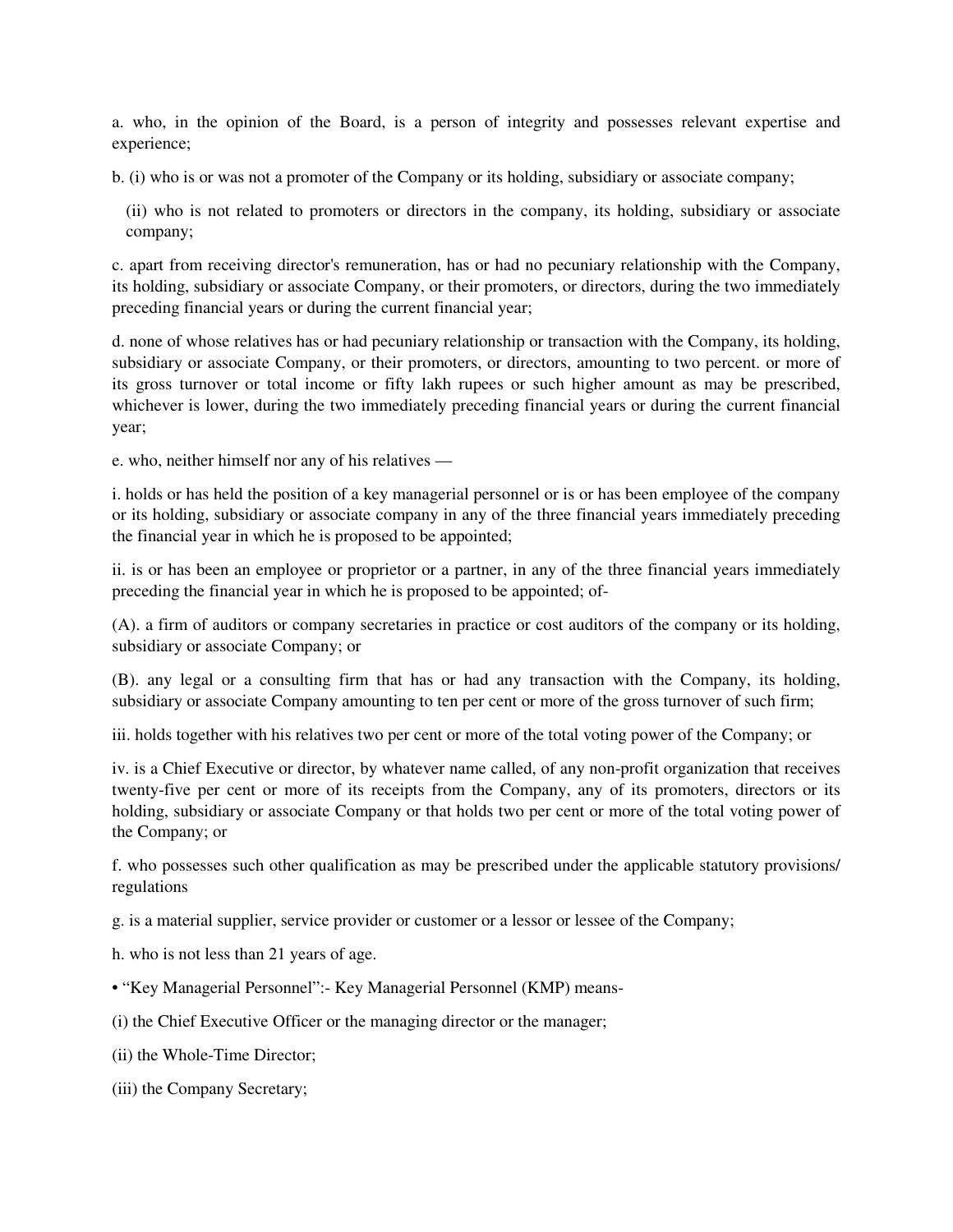a. who, in the opinion of the Board, is a person of integrity and possesses relevant expertise and experience;

b. (i) who is or was not a promoter of the Company or its holding, subsidiary or associate company;

(ii) who is not related to promoters or directors in the company, its holding, subsidiary or associate company;

c. apart from receiving director's remuneration, has or had no pecuniary relationship with the Company, its holding, subsidiary or associate Company, or their promoters, or directors, during the two immediately preceding financial years or during the current financial year;

d. none of whose relatives has or had pecuniary relationship or transaction with the Company, its holding, subsidiary or associate Company, or their promoters, or directors, amounting to two percent. or more of its gross turnover or total income or fifty lakh rupees or such higher amount as may be prescribed, whichever is lower, during the two immediately preceding financial years or during the current financial year;

e. who, neither himself nor any of his relatives —

i. holds or has held the position of a key managerial personnel or is or has been employee of the company or its holding, subsidiary or associate company in any of the three financial years immediately preceding the financial year in which he is proposed to be appointed;

ii. is or has been an employee or proprietor or a partner, in any of the three financial years immediately preceding the financial year in which he is proposed to be appointed; of-

(A). a firm of auditors or company secretaries in practice or cost auditors of the company or its holding, subsidiary or associate Company; or

(B). any legal or a consulting firm that has or had any transaction with the Company, its holding, subsidiary or associate Company amounting to ten per cent or more of the gross turnover of such firm;

iii. holds together with his relatives two per cent or more of the total voting power of the Company; or

iv. is a Chief Executive or director, by whatever name called, of any non-profit organization that receives twenty-five per cent or more of its receipts from the Company, any of its promoters, directors or its holding, subsidiary or associate Company or that holds two per cent or more of the total voting power of the Company; or

f. who possesses such other qualification as may be prescribed under the applicable statutory provisions/ regulations

g. is a material supplier, service provider or customer or a lessor or lessee of the Company;

h. who is not less than 21 years of age.

- "Key Managerial Personnel":- Key Managerial Personnel (KMP) means-
- (i) the Chief Executive Officer or the managing director or the manager;
- (ii) the Whole-Time Director;
- (iii) the Company Secretary;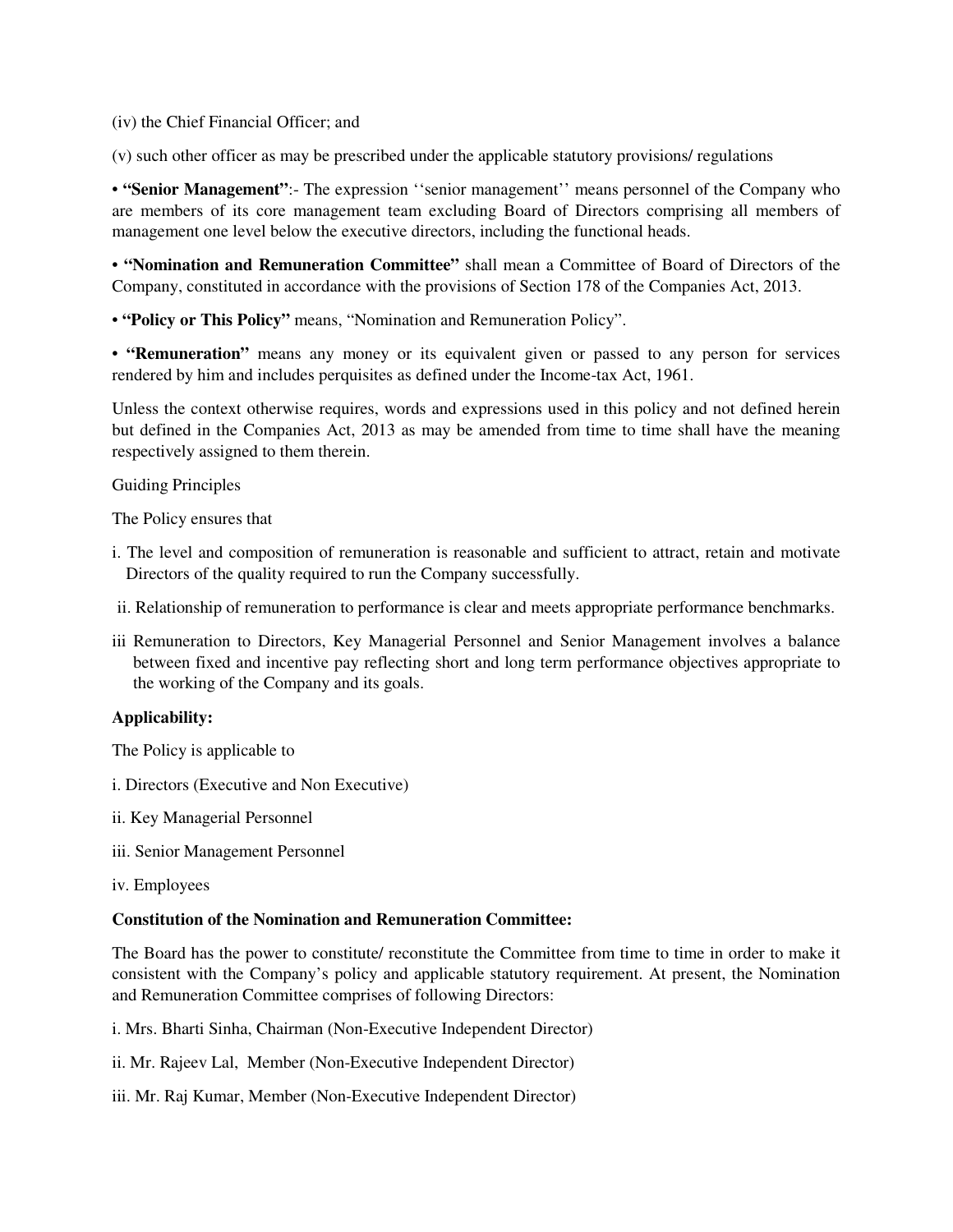(iv) the Chief Financial Officer; and

(v) such other officer as may be prescribed under the applicable statutory provisions/ regulations

• **"Senior Management"**:- The expression ''senior management'' means personnel of the Company who are members of its core management team excluding Board of Directors comprising all members of management one level below the executive directors, including the functional heads.

• **"Nomination and Remuneration Committee"** shall mean a Committee of Board of Directors of the Company, constituted in accordance with the provisions of Section 178 of the Companies Act, 2013.

• **"Policy or This Policy"** means, "Nomination and Remuneration Policy".

• **"Remuneration"** means any money or its equivalent given or passed to any person for services rendered by him and includes perquisites as defined under the Income-tax Act, 1961.

Unless the context otherwise requires, words and expressions used in this policy and not defined herein but defined in the Companies Act, 2013 as may be amended from time to time shall have the meaning respectively assigned to them therein.

Guiding Principles

The Policy ensures that

- i. The level and composition of remuneration is reasonable and sufficient to attract, retain and motivate Directors of the quality required to run the Company successfully.
- ii. Relationship of remuneration to performance is clear and meets appropriate performance benchmarks.
- iii Remuneration to Directors, Key Managerial Personnel and Senior Management involves a balance between fixed and incentive pay reflecting short and long term performance objectives appropriate to the working of the Company and its goals.

## **Applicability:**

The Policy is applicable to

- i. Directors (Executive and Non Executive)
- ii. Key Managerial Personnel
- iii. Senior Management Personnel
- iv. Employees

# **Constitution of the Nomination and Remuneration Committee:**

The Board has the power to constitute/ reconstitute the Committee from time to time in order to make it consistent with the Company's policy and applicable statutory requirement. At present, the Nomination and Remuneration Committee comprises of following Directors:

i. Mrs. Bharti Sinha, Chairman (Non-Executive Independent Director)

ii. Mr. Rajeev Lal, Member (Non-Executive Independent Director)

iii. Mr. Raj Kumar, Member (Non-Executive Independent Director)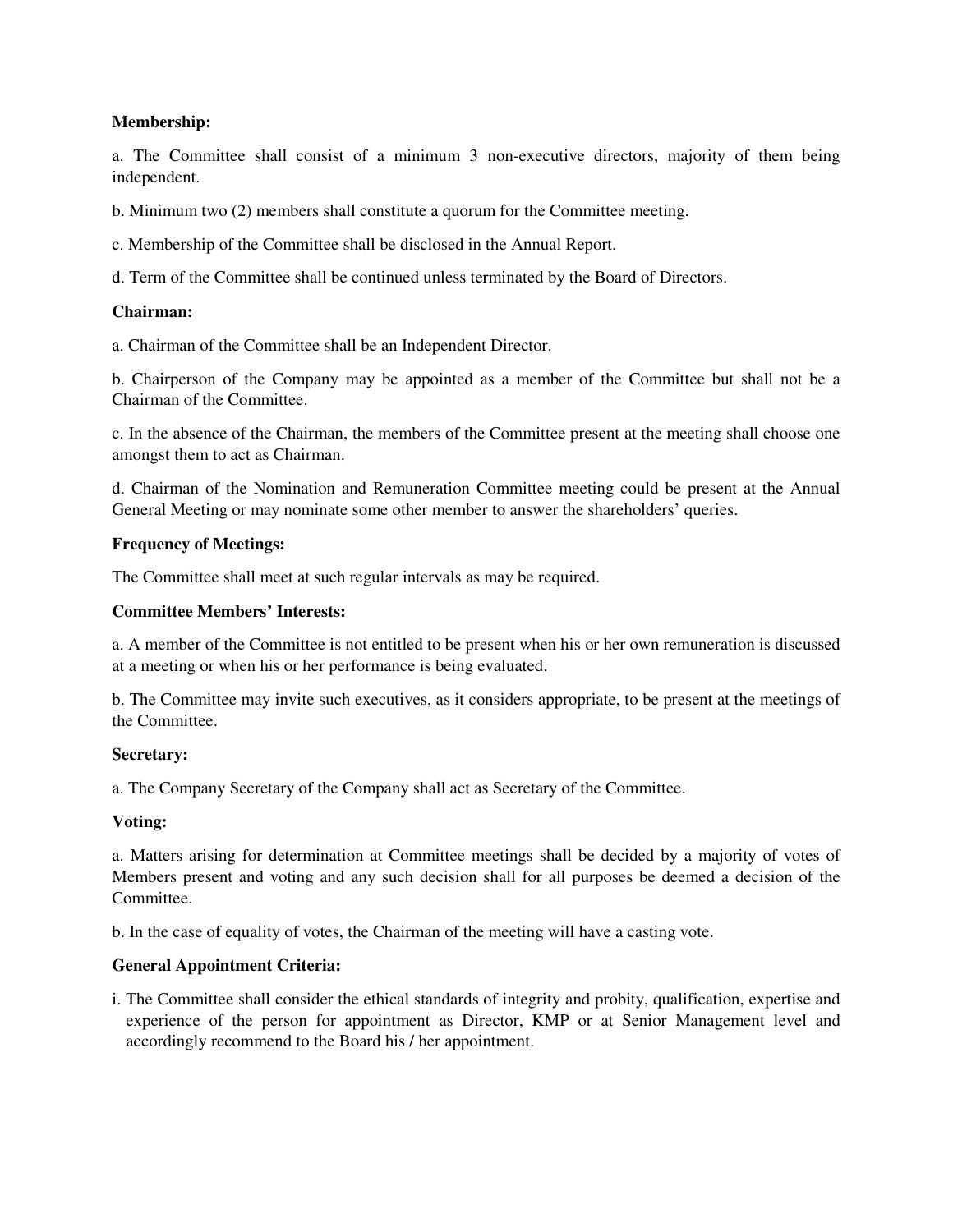## **Membership:**

a. The Committee shall consist of a minimum 3 non-executive directors, majority of them being independent.

b. Minimum two (2) members shall constitute a quorum for the Committee meeting.

c. Membership of the Committee shall be disclosed in the Annual Report.

d. Term of the Committee shall be continued unless terminated by the Board of Directors.

## **Chairman:**

a. Chairman of the Committee shall be an Independent Director.

b. Chairperson of the Company may be appointed as a member of the Committee but shall not be a Chairman of the Committee.

c. In the absence of the Chairman, the members of the Committee present at the meeting shall choose one amongst them to act as Chairman.

d. Chairman of the Nomination and Remuneration Committee meeting could be present at the Annual General Meeting or may nominate some other member to answer the shareholders' queries.

## **Frequency of Meetings:**

The Committee shall meet at such regular intervals as may be required.

## **Committee Members' Interests:**

a. A member of the Committee is not entitled to be present when his or her own remuneration is discussed at a meeting or when his or her performance is being evaluated.

b. The Committee may invite such executives, as it considers appropriate, to be present at the meetings of the Committee.

## **Secretary:**

a. The Company Secretary of the Company shall act as Secretary of the Committee.

## **Voting:**

a. Matters arising for determination at Committee meetings shall be decided by a majority of votes of Members present and voting and any such decision shall for all purposes be deemed a decision of the Committee.

b. In the case of equality of votes, the Chairman of the meeting will have a casting vote.

## **General Appointment Criteria:**

i. The Committee shall consider the ethical standards of integrity and probity, qualification, expertise and experience of the person for appointment as Director, KMP or at Senior Management level and accordingly recommend to the Board his / her appointment.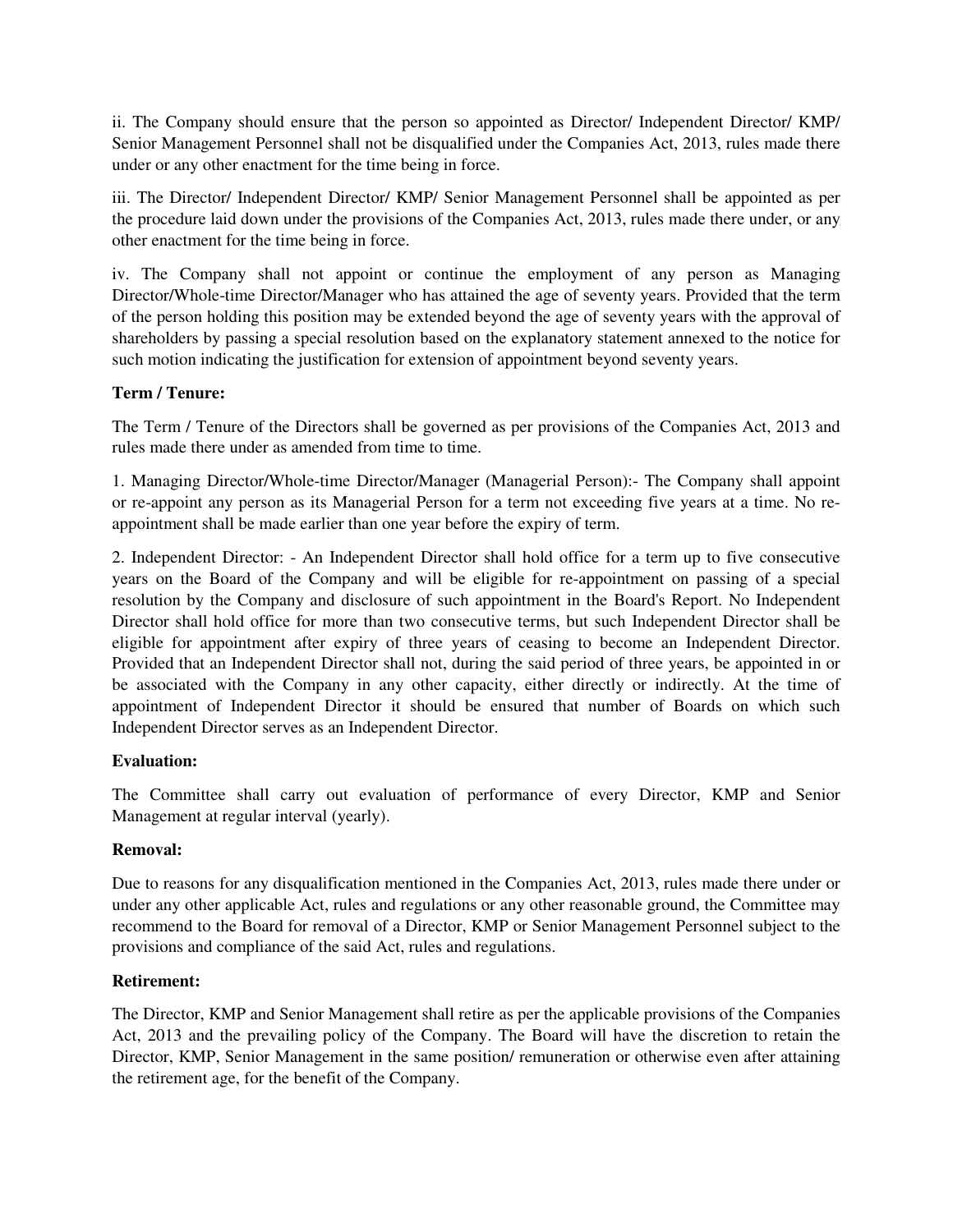ii. The Company should ensure that the person so appointed as Director/ Independent Director/ KMP/ Senior Management Personnel shall not be disqualified under the Companies Act, 2013, rules made there under or any other enactment for the time being in force.

iii. The Director/ Independent Director/ KMP/ Senior Management Personnel shall be appointed as per the procedure laid down under the provisions of the Companies Act, 2013, rules made there under, or any other enactment for the time being in force.

iv. The Company shall not appoint or continue the employment of any person as Managing Director/Whole-time Director/Manager who has attained the age of seventy years. Provided that the term of the person holding this position may be extended beyond the age of seventy years with the approval of shareholders by passing a special resolution based on the explanatory statement annexed to the notice for such motion indicating the justification for extension of appointment beyond seventy years.

# **Term / Tenure:**

The Term / Tenure of the Directors shall be governed as per provisions of the Companies Act, 2013 and rules made there under as amended from time to time.

1. Managing Director/Whole-time Director/Manager (Managerial Person):- The Company shall appoint or re-appoint any person as its Managerial Person for a term not exceeding five years at a time. No reappointment shall be made earlier than one year before the expiry of term.

2. Independent Director: - An Independent Director shall hold office for a term up to five consecutive years on the Board of the Company and will be eligible for re-appointment on passing of a special resolution by the Company and disclosure of such appointment in the Board's Report. No Independent Director shall hold office for more than two consecutive terms, but such Independent Director shall be eligible for appointment after expiry of three years of ceasing to become an Independent Director. Provided that an Independent Director shall not, during the said period of three years, be appointed in or be associated with the Company in any other capacity, either directly or indirectly. At the time of appointment of Independent Director it should be ensured that number of Boards on which such Independent Director serves as an Independent Director.

# **Evaluation:**

The Committee shall carry out evaluation of performance of every Director, KMP and Senior Management at regular interval (yearly).

# **Removal:**

Due to reasons for any disqualification mentioned in the Companies Act, 2013, rules made there under or under any other applicable Act, rules and regulations or any other reasonable ground, the Committee may recommend to the Board for removal of a Director, KMP or Senior Management Personnel subject to the provisions and compliance of the said Act, rules and regulations.

# **Retirement:**

The Director, KMP and Senior Management shall retire as per the applicable provisions of the Companies Act, 2013 and the prevailing policy of the Company. The Board will have the discretion to retain the Director, KMP, Senior Management in the same position/ remuneration or otherwise even after attaining the retirement age, for the benefit of the Company.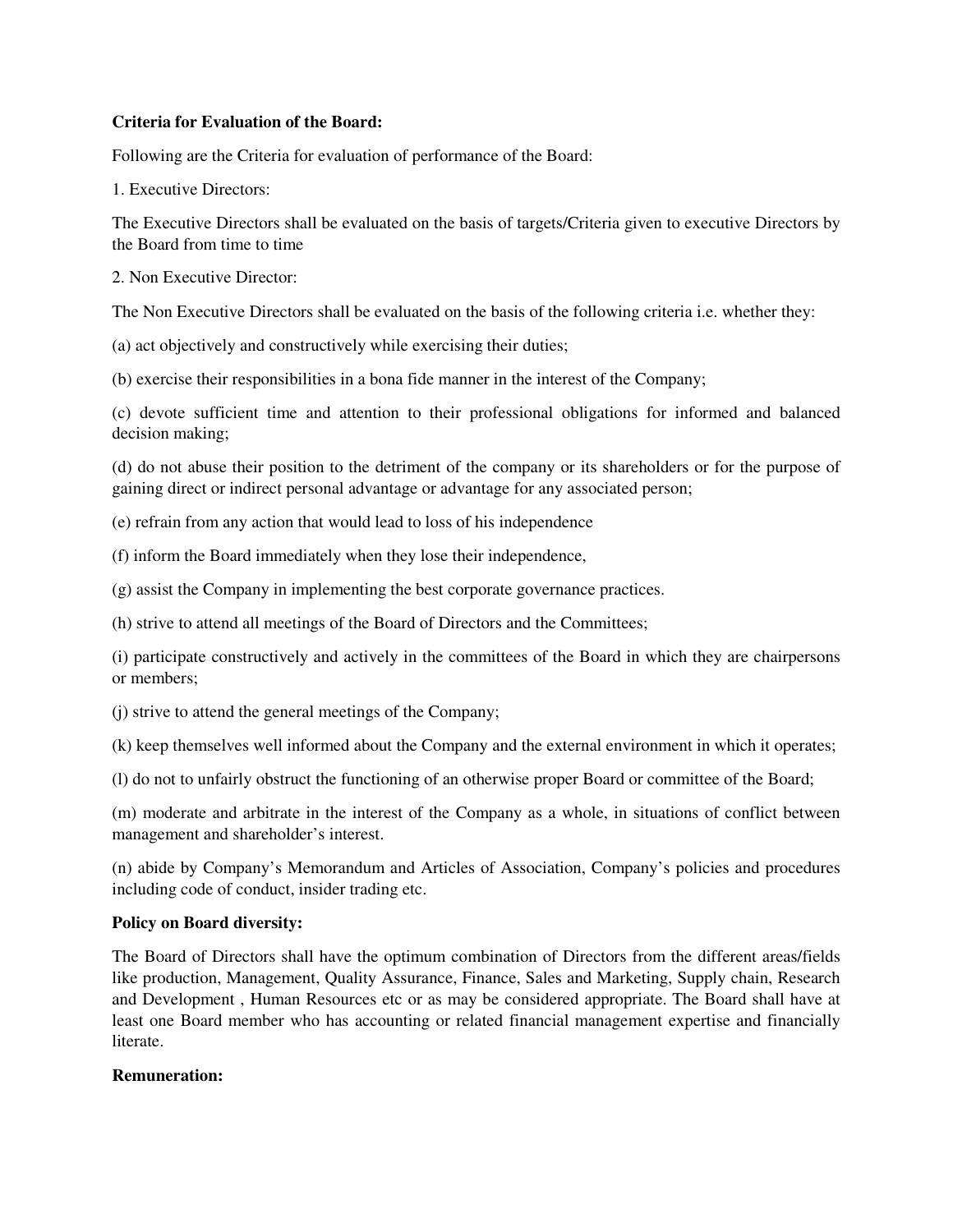## **Criteria for Evaluation of the Board:**

Following are the Criteria for evaluation of performance of the Board:

1. Executive Directors:

The Executive Directors shall be evaluated on the basis of targets/Criteria given to executive Directors by the Board from time to time

2. Non Executive Director:

The Non Executive Directors shall be evaluated on the basis of the following criteria i.e. whether they:

(a) act objectively and constructively while exercising their duties;

(b) exercise their responsibilities in a bona fide manner in the interest of the Company;

(c) devote sufficient time and attention to their professional obligations for informed and balanced decision making;

(d) do not abuse their position to the detriment of the company or its shareholders or for the purpose of gaining direct or indirect personal advantage or advantage for any associated person;

(e) refrain from any action that would lead to loss of his independence

(f) inform the Board immediately when they lose their independence,

(g) assist the Company in implementing the best corporate governance practices.

(h) strive to attend all meetings of the Board of Directors and the Committees;

(i) participate constructively and actively in the committees of the Board in which they are chairpersons or members;

(j) strive to attend the general meetings of the Company;

(k) keep themselves well informed about the Company and the external environment in which it operates;

(l) do not to unfairly obstruct the functioning of an otherwise proper Board or committee of the Board;

(m) moderate and arbitrate in the interest of the Company as a whole, in situations of conflict between management and shareholder's interest.

(n) abide by Company's Memorandum and Articles of Association, Company's policies and procedures including code of conduct, insider trading etc.

## **Policy on Board diversity:**

The Board of Directors shall have the optimum combination of Directors from the different areas/fields like production, Management, Quality Assurance, Finance, Sales and Marketing, Supply chain, Research and Development , Human Resources etc or as may be considered appropriate. The Board shall have at least one Board member who has accounting or related financial management expertise and financially literate.

#### **Remuneration:**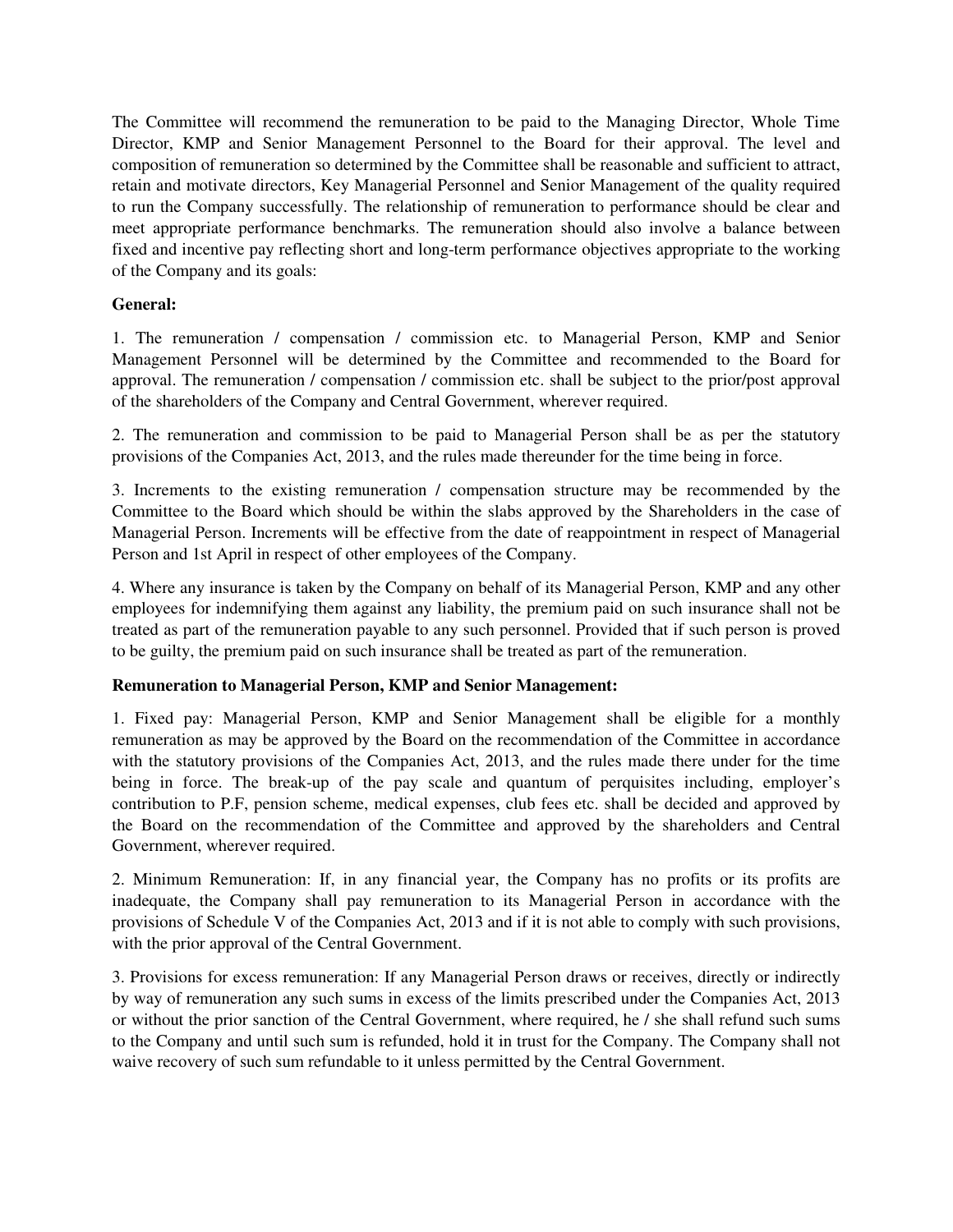The Committee will recommend the remuneration to be paid to the Managing Director, Whole Time Director, KMP and Senior Management Personnel to the Board for their approval. The level and composition of remuneration so determined by the Committee shall be reasonable and sufficient to attract, retain and motivate directors, Key Managerial Personnel and Senior Management of the quality required to run the Company successfully. The relationship of remuneration to performance should be clear and meet appropriate performance benchmarks. The remuneration should also involve a balance between fixed and incentive pay reflecting short and long-term performance objectives appropriate to the working of the Company and its goals:

## **General:**

1. The remuneration / compensation / commission etc. to Managerial Person, KMP and Senior Management Personnel will be determined by the Committee and recommended to the Board for approval. The remuneration / compensation / commission etc. shall be subject to the prior/post approval of the shareholders of the Company and Central Government, wherever required.

2. The remuneration and commission to be paid to Managerial Person shall be as per the statutory provisions of the Companies Act, 2013, and the rules made thereunder for the time being in force.

3. Increments to the existing remuneration / compensation structure may be recommended by the Committee to the Board which should be within the slabs approved by the Shareholders in the case of Managerial Person. Increments will be effective from the date of reappointment in respect of Managerial Person and 1st April in respect of other employees of the Company.

4. Where any insurance is taken by the Company on behalf of its Managerial Person, KMP and any other employees for indemnifying them against any liability, the premium paid on such insurance shall not be treated as part of the remuneration payable to any such personnel. Provided that if such person is proved to be guilty, the premium paid on such insurance shall be treated as part of the remuneration.

# **Remuneration to Managerial Person, KMP and Senior Management:**

1. Fixed pay: Managerial Person, KMP and Senior Management shall be eligible for a monthly remuneration as may be approved by the Board on the recommendation of the Committee in accordance with the statutory provisions of the Companies Act, 2013, and the rules made there under for the time being in force. The break-up of the pay scale and quantum of perquisites including, employer's contribution to P.F, pension scheme, medical expenses, club fees etc. shall be decided and approved by the Board on the recommendation of the Committee and approved by the shareholders and Central Government, wherever required.

2. Minimum Remuneration: If, in any financial year, the Company has no profits or its profits are inadequate, the Company shall pay remuneration to its Managerial Person in accordance with the provisions of Schedule V of the Companies Act, 2013 and if it is not able to comply with such provisions, with the prior approval of the Central Government.

3. Provisions for excess remuneration: If any Managerial Person draws or receives, directly or indirectly by way of remuneration any such sums in excess of the limits prescribed under the Companies Act, 2013 or without the prior sanction of the Central Government, where required, he / she shall refund such sums to the Company and until such sum is refunded, hold it in trust for the Company. The Company shall not waive recovery of such sum refundable to it unless permitted by the Central Government.